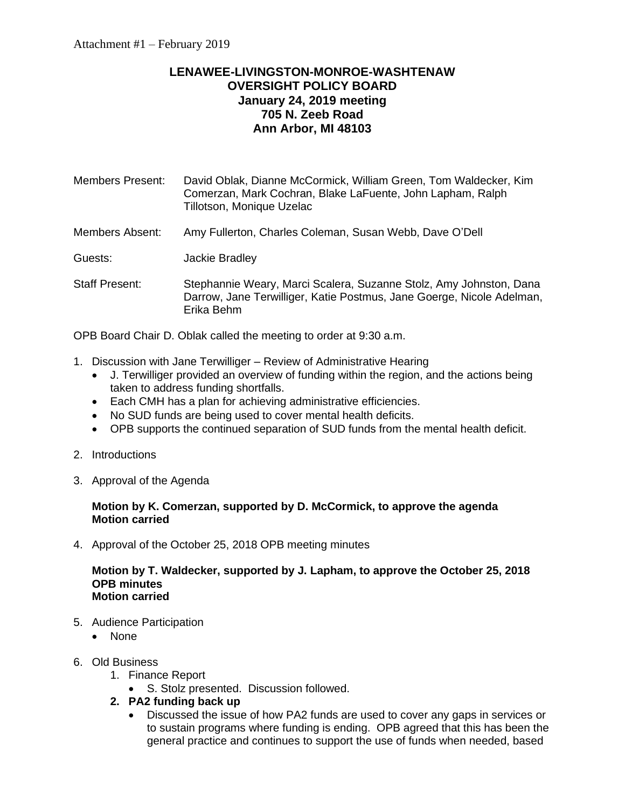# **LENAWEE-LIVINGSTON-MONROE-WASHTENAW OVERSIGHT POLICY BOARD January 24, 2019 meeting 705 N. Zeeb Road Ann Arbor, MI 48103**

Members Present: David Oblak, Dianne McCormick, William Green, Tom Waldecker, Kim Comerzan, Mark Cochran, Blake LaFuente, John Lapham, Ralph Tillotson, Monique Uzelac

Members Absent: Amy Fullerton, Charles Coleman, Susan Webb, Dave O'Dell

Guests: Jackie Bradley

Staff Present: Stephannie Weary, Marci Scalera, Suzanne Stolz, Amy Johnston, Dana Darrow, Jane Terwilliger, Katie Postmus, Jane Goerge, Nicole Adelman, Erika Behm

OPB Board Chair D. Oblak called the meeting to order at 9:30 a.m.

- 1. Discussion with Jane Terwilliger Review of Administrative Hearing
	- J. Terwilliger provided an overview of funding within the region, and the actions being taken to address funding shortfalls.
	- Each CMH has a plan for achieving administrative efficiencies.
	- No SUD funds are being used to cover mental health deficits.
	- OPB supports the continued separation of SUD funds from the mental health deficit.
- 2. Introductions
- 3. Approval of the Agenda

#### **Motion by K. Comerzan, supported by D. McCormick, to approve the agenda Motion carried**

4. Approval of the October 25, 2018 OPB meeting minutes

#### **Motion by T. Waldecker, supported by J. Lapham, to approve the October 25, 2018 OPB minutes Motion carried**

- 5. Audience Participation
	- None
- 6. Old Business
	- 1. Finance Report
		- S. Stolz presented. Discussion followed.
	- **2. PA2 funding back up**
		- Discussed the issue of how PA2 funds are used to cover any gaps in services or to sustain programs where funding is ending. OPB agreed that this has been the general practice and continues to support the use of funds when needed, based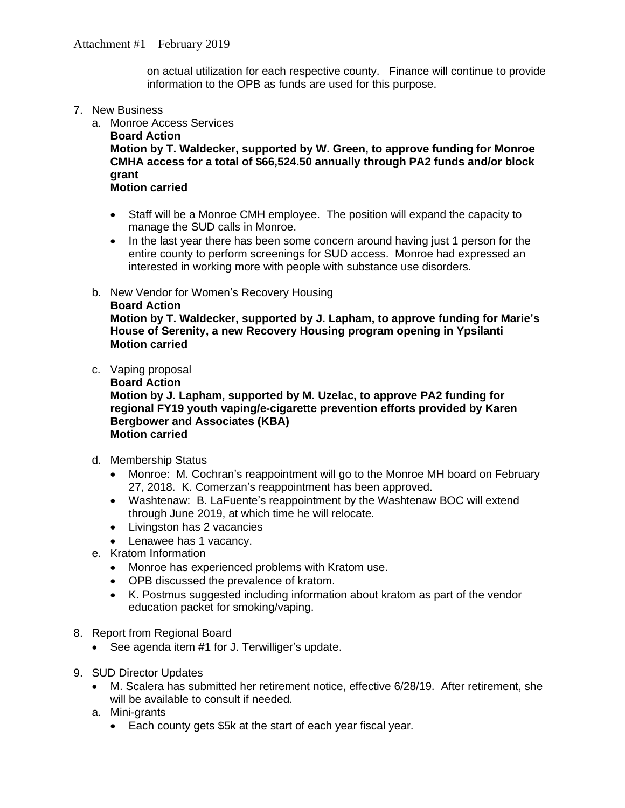on actual utilization for each respective county. Finance will continue to provide information to the OPB as funds are used for this purpose.

- 7. New Business
	- a. Monroe Access Services

**Board Action Motion by T. Waldecker, supported by W. Green, to approve funding for Monroe CMHA access for a total of \$66,524.50 annually through PA2 funds and/or block grant**

#### **Motion carried**

- Staff will be a Monroe CMH employee. The position will expand the capacity to manage the SUD calls in Monroe.
- In the last year there has been some concern around having just 1 person for the entire county to perform screenings for SUD access. Monroe had expressed an interested in working more with people with substance use disorders.
- b. New Vendor for Women's Recovery Housing

```
Board Action
```
**Motion by T. Waldecker, supported by J. Lapham, to approve funding for Marie's House of Serenity, a new Recovery Housing program opening in Ypsilanti Motion carried**

- c. Vaping proposal
	- **Board Action**

**Motion by J. Lapham, supported by M. Uzelac, to approve PA2 funding for regional FY19 youth vaping/e-cigarette prevention efforts provided by Karen Bergbower and Associates (KBA) Motion carried**

- d. Membership Status
	- Monroe: M. Cochran's reappointment will go to the Monroe MH board on February 27, 2018. K. Comerzan's reappointment has been approved.
	- Washtenaw: B. LaFuente's reappointment by the Washtenaw BOC will extend through June 2019, at which time he will relocate.
	- Livingston has 2 vacancies
	- Lenawee has 1 vacancy.
- e. Kratom Information
	- Monroe has experienced problems with Kratom use.
	- OPB discussed the prevalence of kratom.
	- K. Postmus suggested including information about kratom as part of the vendor education packet for smoking/vaping.
- 8. Report from Regional Board
	- See agenda item #1 for J. Terwilliger's update.
- 9. SUD Director Updates
	- M. Scalera has submitted her retirement notice, effective 6/28/19. After retirement, she will be available to consult if needed.
	- a. Mini-grants
		- Each county gets \$5k at the start of each year fiscal year.